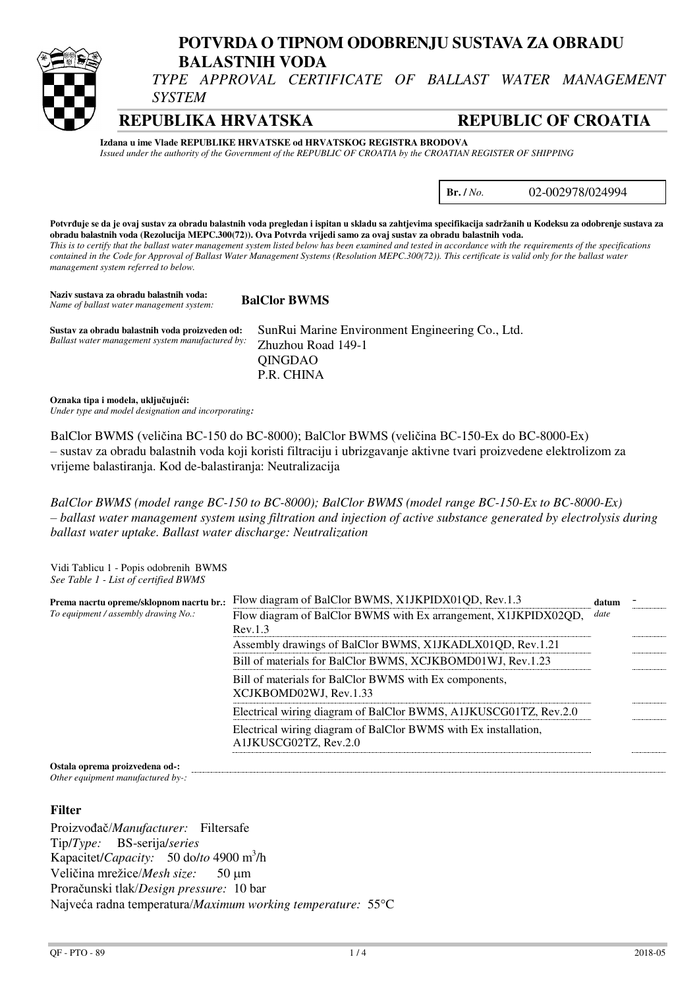

# **POTVRDA O TIPNOM ODOBRENJU SUSTAVA ZA OBRADU BALASTNIH VODA**

*TYPE APPROVAL CERTIFICATE OF BALLAST WATER MANAGEMENT SYSTEM* 

**REPUBLIKA HRVATSKA REPUBLIC OF CROATIA**

**Izdana u ime Vlade REPUBLIKE HRVATSKE od HRVATSKOG REGISTRA BRODOVA** *Issued under the authority of the Government of the REPUBLIC OF CROATIA by the CROATIAN REGISTER OF SHIPPING* 

**Br. /** *No.* 02-002978/024994

**Potvrđuje se da je ovaj sustav za obradu balastnih voda pregledan i ispitan u skladu sa zahtjevima specifikacija sadržanih u Kodeksu za odobrenje sustava za obradu balastnih voda (Rezolucija MEPC.300(72)). Ova Potvrda vrijedi samo za ovaj sustav za obradu balastnih voda.**  *This is to certify that the ballast water management system listed below has been examined and tested in accordance with the requirements of the specifications contained in the Code for Approval of Ballast Water Management Systems (Resolution MEPC.300(72)). This certificate is valid only for the ballast water management system referred to below.* 

**Naziv sustava za obradu balastnih voda: BalClor BWMS** *Name of ballast water management system:* **Sustav za obradu balastnih voda proizveden od:** SunRui Marine Environment Engineering Co., Ltd. Zhuzhou Road 149-1 QINGDAO P.R. CHINA *Ballast water management system manufactured by:*

**Oznaka tipa i modela, uključujući:** *Under type and model designation and incorporating:* 

BalClor BWMS (veličina BC-150 do BC-8000); BalClor BWMS (veličina BC-150-Ex do BC-8000-Ex) – sustav za obradu balastnih voda koji koristi filtraciju i ubrizgavanje aktivne tvari proizvedene elektrolizom za vrijeme balastiranja. Kod de-balastiranja: Neutralizacija

*BalClor BWMS (model range BC-150 to BC-8000); BalClor BWMS (model range BC-150-Ex to BC-8000-Ex) – ballast water management system using filtration and injection of active substance generated by electrolysis during ballast water uptake. Ballast water discharge: Neutralization* 

Vidi Tablicu 1 - Popis odobrenih BWMS *See Table 1 - List of certified BWMS*

| Prema nacrtu opreme/sklopnom nacrtu br.: | Flow diagram of BalClor BWMS, X1JKPIDX01QD, Rev.1.3                                      | datum |  |
|------------------------------------------|------------------------------------------------------------------------------------------|-------|--|
| To equipment / assembly drawing No.:     | Flow diagram of BalClor BWMS with Ex arrangement, X1JKPIDX02QD,                          | date  |  |
|                                          | Rev.1.3                                                                                  |       |  |
|                                          | Assembly drawings of BalClor BWMS, X1JKADLX01QD, Rev.1.21                                |       |  |
|                                          | Bill of materials for BalClor BWMS, XCJKBOMD01WJ, Rev.1.23                               |       |  |
|                                          | Bill of materials for BalClor BWMS with Ex components,<br>XCJKBOMD02WJ, Rev.1.33         |       |  |
|                                          | Electrical wiring diagram of BalClor BWMS, A1JKUSCG01TZ, Rev.2.0                         |       |  |
|                                          | Electrical wiring diagram of BalClor BWMS with Ex installation,<br>A1JKUSCG02TZ, Rev.2.0 |       |  |
|                                          |                                                                                          |       |  |

**Ostala oprema proizvedena od-:**  *Other equipment manufactured by-:* 

#### **Filter**

Proizvođač/*Manufacturer:* Filtersafe Tip/*Type:* BS-serija/*series* Kapacitet/*Capacity:* 50 do/*to* 4900 m<sup>3</sup> /h Veličina mrežice/*Mesh size*: 50 µm Proračunski tlak/*Design pressure:* 10 bar Najveća radna temperatura/*Maximum working temperature:* 55C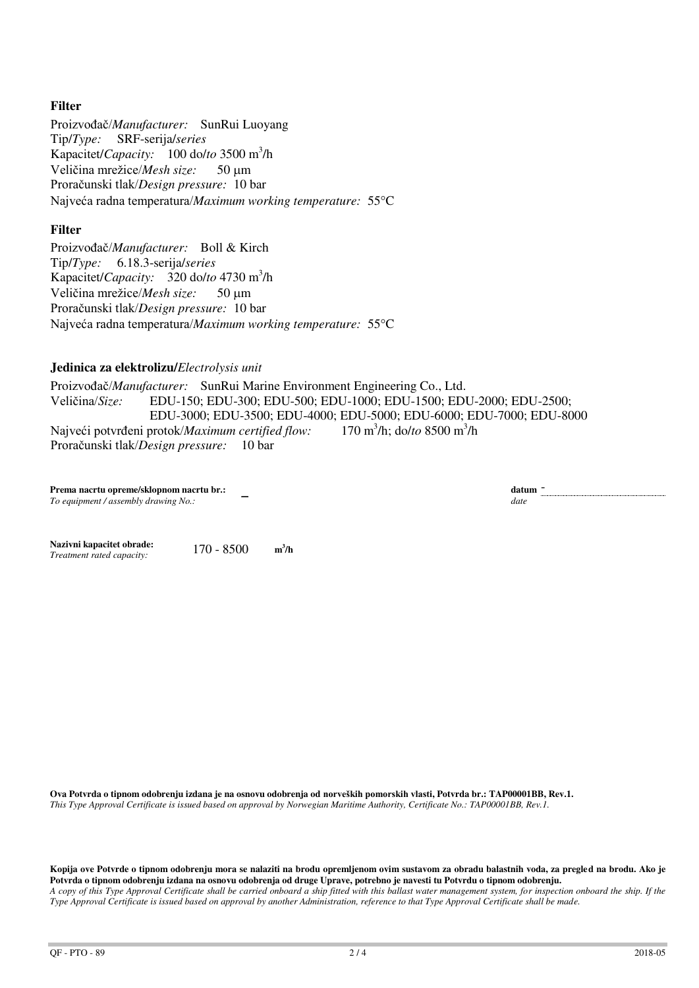## **Filter**

Proizvođač/*Manufacturer:* SunRui Luoyang Tip/*Type:* SRF-serija/*series* Kapacitet/*Capacity*: 100 do/*to* 3500 m<sup>3</sup>/h Veličina mrežice/*Mesh size*: 50 µm Proračunski tlak/*Design pressure:* 10 bar Najveća radna temperatura/*Maximum working temperature:* 55C

#### **Filter**

Proizvođač/*Manufacturer:* Boll & Kirch Tip/*Type:* 6.18.3-serija/*series* Kapacitet/*Capacity*: 320 do/to 4730 m<sup>3</sup>/h Veličina mrežice/*Mesh size:* 50 um Proračunski tlak/*Design pressure:* 10 bar Najveća radna temperatura/*Maximum working temperature:* 55C

### **Jedinica za elektrolizu/***Electrolysis unit*

Proizvođač/*Manufacturer:* SunRui Marine Environment Engineering Co., Ltd. Veličina/*Size:* EDU-150; EDU-300; EDU-500; EDU-1000; EDU-1500; EDU-2000; EDU-2500; EDU-3000; EDU-3500; EDU-4000; EDU-5000; EDU-6000; EDU-7000; EDU-8000 Najveći potvrđeni protok/*Maximum certified flow:* /h; do/*to* 8500 m<sup>3</sup>/h Proračunski tlak/*Design pressure:* 10 bar

**Prema nacrtu opreme/sklopnom nacrtu br.:**  -*To equipment / assembly drawing No.:* 

**datum \_**<br>*date* 

**Nazivni kapacitet obrade:** 170 - 8500 **<sup>m</sup>**  $m^3/h$  $Treatment rated capacity:$ 

**Ova Potvrda o tipnom odobrenju izdana je na osnovu odobrenja od norveških pomorskih vlasti, Potvrda br.: TAP00001BB, Rev.1.**  *This Type Approval Certificate is issued based on approval by Norwegian Maritime Authority, Certificate No.: TAP00001BB, Rev.1.*

**Kopija ove Potvrde o tipnom odobrenju mora se nalaziti na brodu opremljenom ovim sustavom za obradu balastnih voda, za pregled na brodu. Ako je Potvrda o tipnom odobrenju izdana na osnovu odobrenja od druge Uprave, potrebno je navesti tu Potvrdu o tipnom odobrenju.**  *A copy of this Type Approval Certificate shall be carried onboard a ship fitted with this ballast water management system, for inspection onboard the ship. If the Type Approval Certificate is issued based on approval by another Administration, reference to that Type Approval Certificate shall be made.*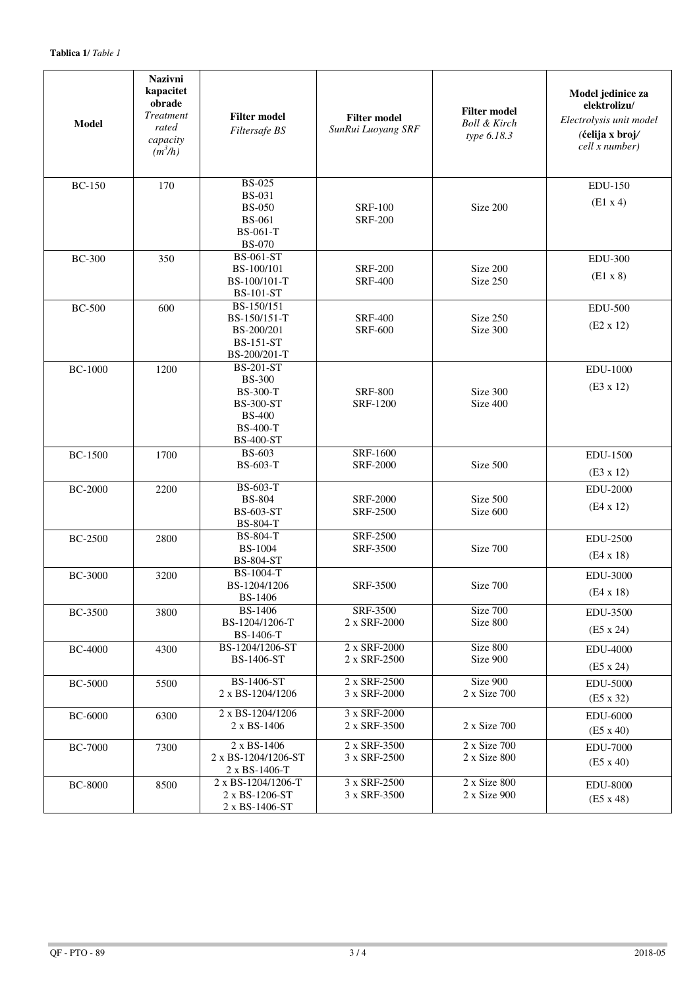| <b>Model</b>   | <b>Nazivni</b><br>kapacitet<br>obrade<br><b>Treatment</b><br>rated<br>capacity<br>$(m^3/h)$ | <b>Filter model</b><br>Filtersafe BS                                                                                             | <b>Filter model</b><br>SunRui Luoyang SRF | <b>Filter model</b><br><b>Boll &amp; Kirch</b><br>type 6.18.3 | Model jedinice za<br>elektrolizu/<br>Electrolysis unit model<br>(ćelija x broj/<br>cell x number) |
|----------------|---------------------------------------------------------------------------------------------|----------------------------------------------------------------------------------------------------------------------------------|-------------------------------------------|---------------------------------------------------------------|---------------------------------------------------------------------------------------------------|
| <b>BC-150</b>  | 170                                                                                         | <b>BS-025</b><br><b>BS-031</b><br><b>BS-050</b><br><b>BS-061</b><br><b>BS-061-T</b><br><b>BS-070</b>                             | <b>SRF-100</b><br><b>SRF-200</b>          | Size 200                                                      | <b>EDU-150</b><br>(E1 x 4)                                                                        |
| <b>BC-300</b>  | 350                                                                                         | <b>BS-061-ST</b><br>BS-100/101<br>BS-100/101-T<br><b>BS-101-ST</b>                                                               | <b>SRF-200</b><br><b>SRF-400</b>          | Size 200<br>Size 250                                          | <b>EDU-300</b><br>$(E1 \times 8)$                                                                 |
| <b>BC-500</b>  | 600                                                                                         | BS-150/151<br>BS-150/151-T<br>BS-200/201<br><b>BS-151-ST</b><br>BS-200/201-T                                                     | <b>SRF-400</b><br><b>SRF-600</b>          | Size 250<br>Size 300                                          | <b>EDU-500</b><br>$(E2 \times 12)$                                                                |
| <b>BC-1000</b> | 1200                                                                                        | <b>BS-201-ST</b><br><b>BS-300</b><br><b>BS-300-T</b><br><b>BS-300-ST</b><br><b>BS-400</b><br><b>BS-400-T</b><br><b>BS-400-ST</b> | <b>SRF-800</b><br><b>SRF-1200</b>         | Size 300<br>Size 400                                          | <b>EDU-1000</b><br>$(E3 \times 12)$                                                               |
| <b>BC-1500</b> | 1700                                                                                        | <b>BS-603</b><br>BS-603-T                                                                                                        | SRF-1600<br><b>SRF-2000</b>               | Size 500                                                      | <b>EDU-1500</b><br>$(E3 \times 12)$                                                               |
| <b>BC-2000</b> | 2200                                                                                        | BS-603-T<br><b>BS-804</b><br><b>BS-603-ST</b><br><b>BS-804-T</b>                                                                 | <b>SRF-2000</b><br><b>SRF-2500</b>        | Size 500<br>Size 600                                          | <b>EDU-2000</b><br>$(E4 \times 12)$                                                               |
| <b>BC-2500</b> | 2800                                                                                        | <b>BS-804-T</b><br><b>BS-1004</b><br><b>BS-804-ST</b>                                                                            | <b>SRF-2500</b><br><b>SRF-3500</b>        | Size 700                                                      | <b>EDU-2500</b><br>$(E4 \times 18)$                                                               |
| <b>BC-3000</b> | 3200                                                                                        | BS-1004-T<br>BS-1204/1206<br><b>BS-1406</b>                                                                                      | SRF-3500                                  | Size 700                                                      | EDU-3000<br>$(E4 \times 18)$                                                                      |
| <b>BC-3500</b> | 3800                                                                                        | <b>BS-1406</b><br>BS-1204/1206-T<br>BS-1406-T                                                                                    | SRF-3500<br>2 x SRF-2000                  | Size 700<br>Size 800                                          | <b>EDU-3500</b><br>$(E5 \times 24)$                                                               |
| <b>BC-4000</b> | 4300                                                                                        | BS-1204/1206-ST<br>BS-1406-ST                                                                                                    | 2 x SRF-2000<br>2 x SRF-2500              | Size 800<br>Size 900                                          | <b>EDU-4000</b><br>$(E5 \times 24)$                                                               |
| <b>BC-5000</b> | 5500                                                                                        | BS-1406-ST<br>2 x BS-1204/1206                                                                                                   | 2 x SRF-2500<br>3 x SRF-2000              | Size 900<br>2 x Size 700                                      | <b>EDU-5000</b><br>$(E5 \times 32)$                                                               |
| <b>BC-6000</b> | 6300                                                                                        | 2 x BS-1204/1206<br>2 x BS-1406                                                                                                  | 3 x SRF-2000<br>2 x SRF-3500              | 2 x Size 700                                                  | <b>EDU-6000</b><br>(E5 x 40)                                                                      |
| <b>BC-7000</b> | 7300                                                                                        | $2 \times BS-1406$<br>2 x BS-1204/1206-ST<br>2 x BS-1406-T                                                                       | 2 x SRF-3500<br>3 x SRF-2500              | 2 x Size 700<br>2 x Size 800                                  | <b>EDU-7000</b><br>$(E5 \times 40)$                                                               |
| <b>BC-8000</b> | 8500                                                                                        | 2 x BS-1204/1206-T<br>2 x BS-1206-ST<br>2 x BS-1406-ST                                                                           | 3 x SRF-2500<br>3 x SRF-3500              | 2 x Size 800<br>2 x Size 900                                  | <b>EDU-8000</b><br>$(E5 \times 48)$                                                               |